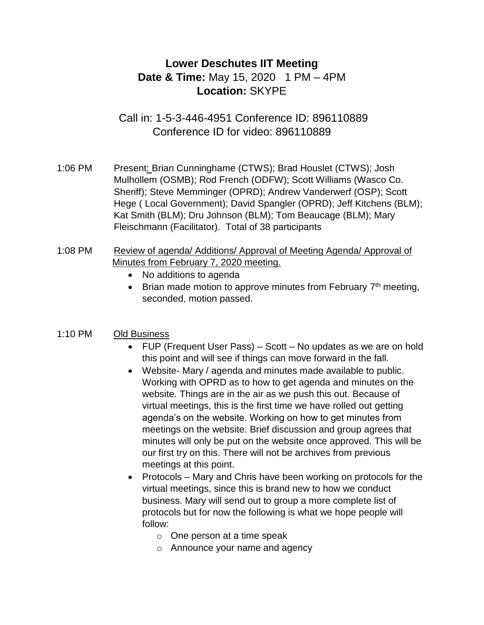# **Lower Deschutes IIT Meeting Date & Time:** May 15, 2020 1 PM – 4PM **Location:** SKYPE

Call in: 1-5-3-446-4951 Conference ID: 896110889 Conference ID for video: 896110889

1:06 PM Present: Brian Cunninghame (CTWS); Brad Houslet (CTWS); Josh Mulhollem (OSMB); Rod French (ODFW); Scott Williams (Wasco Co. Sheriff); Steve Memminger (OPRD); Andrew Vanderwerf (OSP); Scott Hege ( Local Government); David Spangler (OPRD); Jeff Kitchens (BLM); Kat Smith (BLM); Dru Johnson (BLM); Tom Beaucage (BLM); Mary Fleischmann (Facilitator). Total of 38 participants

- 1:08 PM Review of agenda/ Additions/ Approval of Meeting Agenda/ Approval of Minutes from February 7, 2020 meeting.
	- No additions to agenda
	- Brian made motion to approve minutes from February  $7<sup>th</sup>$  meeting, seconded, motion passed.

## 1:10 PM Old Business

- FUP (Frequent User Pass) Scott No updates as we are on hold this point and will see if things can move forward in the fall.
- Website- Mary / agenda and minutes made available to public. Working with OPRD as to how to get agenda and minutes on the website. Things are in the air as we push this out. Because of virtual meetings, this is the first time we have rolled out getting agenda's on the website. Working on how to get minutes from meetings on the website. Brief discussion and group agrees that minutes will only be put on the website once approved. This will be our first try on this. There will not be archives from previous meetings at this point.
- Protocols Mary and Chris have been working on protocols for the virtual meetings, since this is brand new to how we conduct business. Mary will send out to group a more complete list of protocols but for now the following is what we hope people will follow:
	- $\circ$  One person at a time speak
	- o Announce your name and agency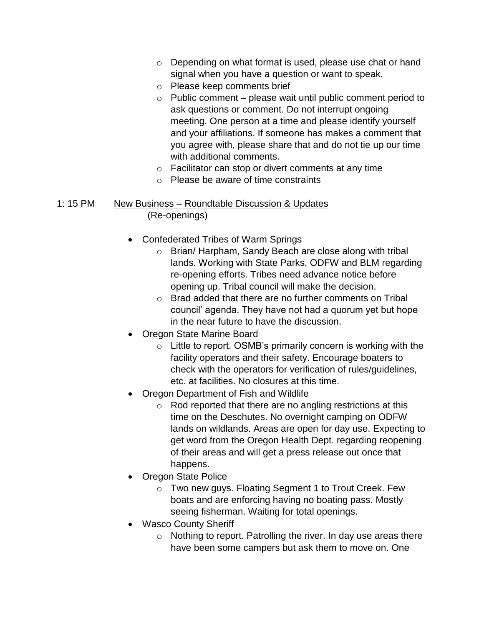- o Depending on what format is used, please use chat or hand signal when you have a question or want to speak.
- o Please keep comments brief
- $\circ$  Public comment please wait until public comment period to ask questions or comment. Do not interrupt ongoing meeting. One person at a time and please identify yourself and your affiliations. If someone has makes a comment that you agree with, please share that and do not tie up our time with additional comments.
- o Facilitator can stop or divert comments at any time
- o Please be aware of time constraints

#### 1: 15 PM New Business – Roundtable Discussion & Updates (Re-openings)

- Confederated Tribes of Warm Springs
	- o Brian/ Harpham, Sandy Beach are close along with tribal lands. Working with State Parks, ODFW and BLM regarding re-opening efforts. Tribes need advance notice before opening up. Tribal council will make the decision.
	- o Brad added that there are no further comments on Tribal council' agenda. They have not had a quorum yet but hope in the near future to have the discussion.
- Oregon State Marine Board
	- $\circ$  Little to report. OSMB's primarily concern is working with the facility operators and their safety. Encourage boaters to check with the operators for verification of rules/guidelines, etc. at facilities. No closures at this time.
- Oregon Department of Fish and Wildlife
	- o Rod reported that there are no angling restrictions at this time on the Deschutes. No overnight camping on ODFW lands on wildlands. Areas are open for day use. Expecting to get word from the Oregon Health Dept. regarding reopening of their areas and will get a press release out once that happens.
- Oregon State Police
	- o Two new guys. Floating Segment 1 to Trout Creek. Few boats and are enforcing having no boating pass. Mostly seeing fisherman. Waiting for total openings.
- Wasco County Sheriff
	- $\circ$  Nothing to report. Patrolling the river. In day use areas there have been some campers but ask them to move on. One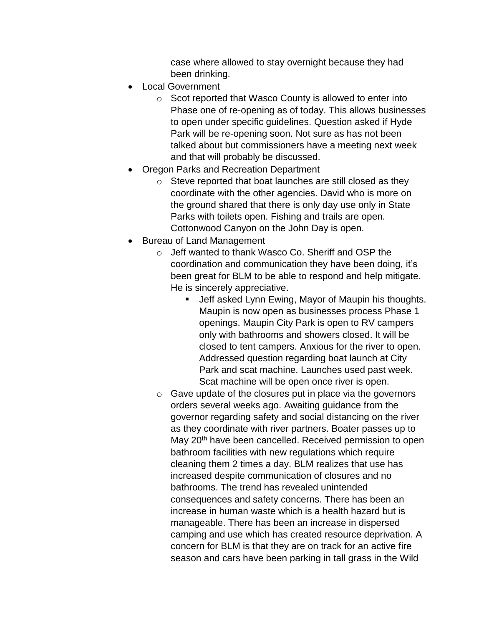case where allowed to stay overnight because they had been drinking.

- Local Government
	- o Scot reported that Wasco County is allowed to enter into Phase one of re-opening as of today. This allows businesses to open under specific guidelines. Question asked if Hyde Park will be re-opening soon. Not sure as has not been talked about but commissioners have a meeting next week and that will probably be discussed.
- Oregon Parks and Recreation Department
	- o Steve reported that boat launches are still closed as they coordinate with the other agencies. David who is more on the ground shared that there is only day use only in State Parks with toilets open. Fishing and trails are open. Cottonwood Canyon on the John Day is open.
- Bureau of Land Management
	- o Jeff wanted to thank Wasco Co. Sheriff and OSP the coordination and communication they have been doing, it's been great for BLM to be able to respond and help mitigate. He is sincerely appreciative.
		- Jeff asked Lynn Ewing, Mayor of Maupin his thoughts. Maupin is now open as businesses process Phase 1 openings. Maupin City Park is open to RV campers only with bathrooms and showers closed. It will be closed to tent campers. Anxious for the river to open. Addressed question regarding boat launch at City Park and scat machine. Launches used past week. Scat machine will be open once river is open.
	- $\circ$  Gave update of the closures put in place via the governors orders several weeks ago. Awaiting guidance from the governor regarding safety and social distancing on the river as they coordinate with river partners. Boater passes up to May 20<sup>th</sup> have been cancelled. Received permission to open bathroom facilities with new regulations which require cleaning them 2 times a day. BLM realizes that use has increased despite communication of closures and no bathrooms. The trend has revealed unintended consequences and safety concerns. There has been an increase in human waste which is a health hazard but is manageable. There has been an increase in dispersed camping and use which has created resource deprivation. A concern for BLM is that they are on track for an active fire season and cars have been parking in tall grass in the Wild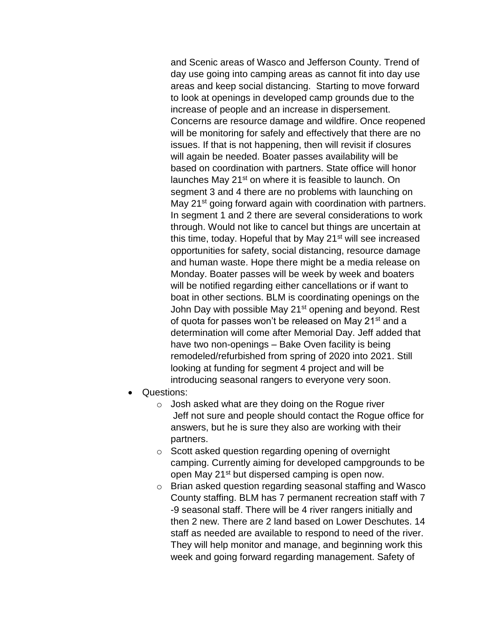and Scenic areas of Wasco and Jefferson County. Trend of day use going into camping areas as cannot fit into day use areas and keep social distancing. Starting to move forward to look at openings in developed camp grounds due to the increase of people and an increase in dispersement. Concerns are resource damage and wildfire. Once reopened will be monitoring for safely and effectively that there are no issues. If that is not happening, then will revisit if closures will again be needed. Boater passes availability will be based on coordination with partners. State office will honor launches May 21<sup>st</sup> on where it is feasible to launch. On segment 3 and 4 there are no problems with launching on May 21<sup>st</sup> going forward again with coordination with partners. In segment 1 and 2 there are several considerations to work through. Would not like to cancel but things are uncertain at this time, today. Hopeful that by May 21<sup>st</sup> will see increased opportunities for safety, social distancing, resource damage and human waste. Hope there might be a media release on Monday. Boater passes will be week by week and boaters will be notified regarding either cancellations or if want to boat in other sections. BLM is coordinating openings on the John Day with possible May 21<sup>st</sup> opening and beyond. Rest of quota for passes won't be released on May 21<sup>st</sup> and a determination will come after Memorial Day. Jeff added that have two non-openings – Bake Oven facility is being remodeled/refurbished from spring of 2020 into 2021. Still looking at funding for segment 4 project and will be introducing seasonal rangers to everyone very soon.

- Questions:
	- $\circ$  Josh asked what are they doing on the Roque river Jeff not sure and people should contact the Rogue office for answers, but he is sure they also are working with their partners.
	- o Scott asked question regarding opening of overnight camping. Currently aiming for developed campgrounds to be open May 21<sup>st</sup> but dispersed camping is open now.
	- o Brian asked question regarding seasonal staffing and Wasco County staffing. BLM has 7 permanent recreation staff with 7 -9 seasonal staff. There will be 4 river rangers initially and then 2 new. There are 2 land based on Lower Deschutes. 14 staff as needed are available to respond to need of the river. They will help monitor and manage, and beginning work this week and going forward regarding management. Safety of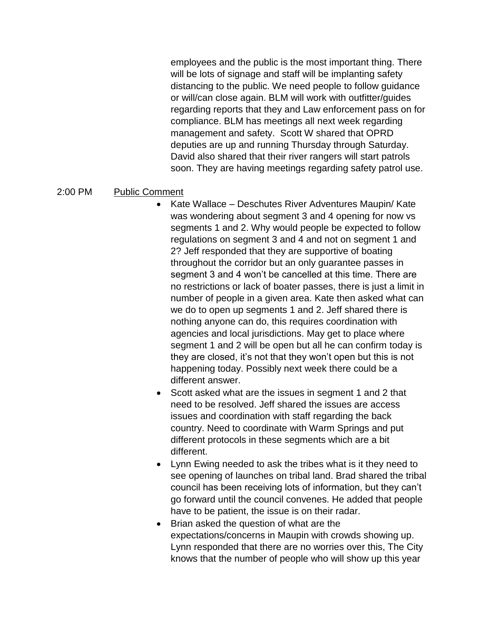employees and the public is the most important thing. There will be lots of signage and staff will be implanting safety distancing to the public. We need people to follow guidance or will/can close again. BLM will work with outfitter/guides regarding reports that they and Law enforcement pass on for compliance. BLM has meetings all next week regarding management and safety. Scott W shared that OPRD deputies are up and running Thursday through Saturday. David also shared that their river rangers will start patrols soon. They are having meetings regarding safety patrol use.

### 2:00 PM Public Comment

- Kate Wallace Deschutes River Adventures Maupin/ Kate was wondering about segment 3 and 4 opening for now vs segments 1 and 2. Why would people be expected to follow regulations on segment 3 and 4 and not on segment 1 and 2? Jeff responded that they are supportive of boating throughout the corridor but an only guarantee passes in segment 3 and 4 won't be cancelled at this time. There are no restrictions or lack of boater passes, there is just a limit in number of people in a given area. Kate then asked what can we do to open up segments 1 and 2. Jeff shared there is nothing anyone can do, this requires coordination with agencies and local jurisdictions. May get to place where segment 1 and 2 will be open but all he can confirm today is they are closed, it's not that they won't open but this is not happening today. Possibly next week there could be a different answer.
- Scott asked what are the issues in segment 1 and 2 that need to be resolved. Jeff shared the issues are access issues and coordination with staff regarding the back country. Need to coordinate with Warm Springs and put different protocols in these segments which are a bit different.
- Lynn Ewing needed to ask the tribes what is it they need to see opening of launches on tribal land. Brad shared the tribal council has been receiving lots of information, but they can't go forward until the council convenes. He added that people have to be patient, the issue is on their radar.
- Brian asked the question of what are the expectations/concerns in Maupin with crowds showing up. Lynn responded that there are no worries over this, The City knows that the number of people who will show up this year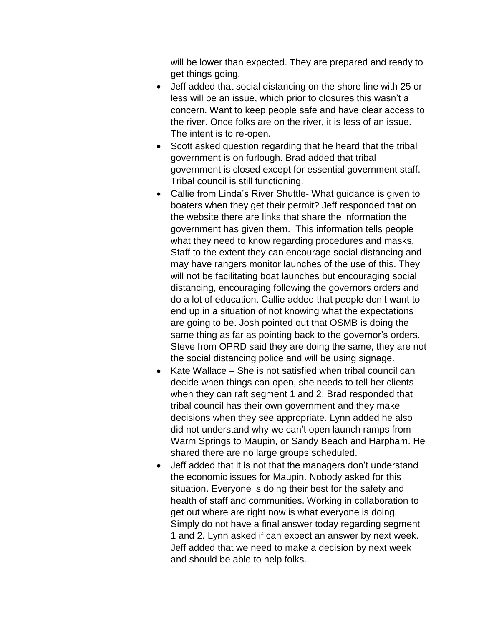will be lower than expected. They are prepared and ready to get things going.

- Jeff added that social distancing on the shore line with 25 or less will be an issue, which prior to closures this wasn't a concern. Want to keep people safe and have clear access to the river. Once folks are on the river, it is less of an issue. The intent is to re-open.
- Scott asked question regarding that he heard that the tribal government is on furlough. Brad added that tribal government is closed except for essential government staff. Tribal council is still functioning.
- Callie from Linda's River Shuttle- What guidance is given to boaters when they get their permit? Jeff responded that on the website there are links that share the information the government has given them. This information tells people what they need to know regarding procedures and masks. Staff to the extent they can encourage social distancing and may have rangers monitor launches of the use of this. They will not be facilitating boat launches but encouraging social distancing, encouraging following the governors orders and do a lot of education. Callie added that people don't want to end up in a situation of not knowing what the expectations are going to be. Josh pointed out that OSMB is doing the same thing as far as pointing back to the governor's orders. Steve from OPRD said they are doing the same, they are not the social distancing police and will be using signage.
- Kate Wallace She is not satisfied when tribal council can decide when things can open, she needs to tell her clients when they can raft segment 1 and 2. Brad responded that tribal council has their own government and they make decisions when they see appropriate. Lynn added he also did not understand why we can't open launch ramps from Warm Springs to Maupin, or Sandy Beach and Harpham. He shared there are no large groups scheduled.
- Jeff added that it is not that the managers don't understand the economic issues for Maupin. Nobody asked for this situation. Everyone is doing their best for the safety and health of staff and communities. Working in collaboration to get out where are right now is what everyone is doing. Simply do not have a final answer today regarding segment 1 and 2. Lynn asked if can expect an answer by next week. Jeff added that we need to make a decision by next week and should be able to help folks.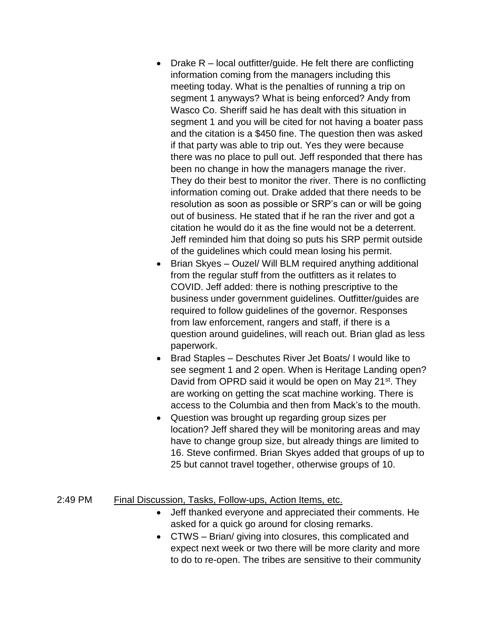- Drake  $R -$  local outfitter/guide. He felt there are conflicting information coming from the managers including this meeting today. What is the penalties of running a trip on segment 1 anyways? What is being enforced? Andy from Wasco Co. Sheriff said he has dealt with this situation in segment 1 and you will be cited for not having a boater pass and the citation is a \$450 fine. The question then was asked if that party was able to trip out. Yes they were because there was no place to pull out. Jeff responded that there has been no change in how the managers manage the river. They do their best to monitor the river. There is no conflicting information coming out. Drake added that there needs to be resolution as soon as possible or SRP's can or will be going out of business. He stated that if he ran the river and got a citation he would do it as the fine would not be a deterrent. Jeff reminded him that doing so puts his SRP permit outside of the guidelines which could mean losing his permit.
- Brian Skyes Ouzel/ Will BLM required anything additional from the regular stuff from the outfitters as it relates to COVID. Jeff added: there is nothing prescriptive to the business under government guidelines. Outfitter/guides are required to follow guidelines of the governor. Responses from law enforcement, rangers and staff, if there is a question around guidelines, will reach out. Brian glad as less paperwork.
- Brad Staples Deschutes River Jet Boats/ I would like to see segment 1 and 2 open. When is Heritage Landing open? David from OPRD said it would be open on May 21<sup>st</sup>. They are working on getting the scat machine working. There is access to the Columbia and then from Mack's to the mouth.
- Question was brought up regarding group sizes per location? Jeff shared they will be monitoring areas and may have to change group size, but already things are limited to 16. Steve confirmed. Brian Skyes added that groups of up to 25 but cannot travel together, otherwise groups of 10.

### 2:49 PM Final Discussion, Tasks, Follow-ups, Action Items, etc.

- Jeff thanked everyone and appreciated their comments. He asked for a quick go around for closing remarks.
- CTWS Brian/ giving into closures, this complicated and expect next week or two there will be more clarity and more to do to re-open. The tribes are sensitive to their community